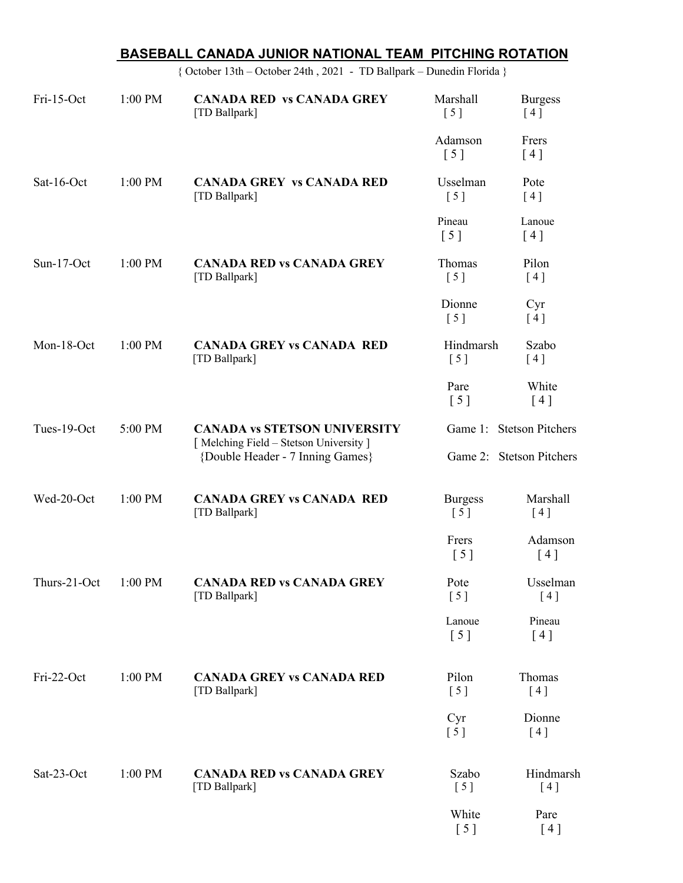|              |         | BASEBALL CANADA JUNIOR NATIONAL TEAM PITCHING ROTATION                                                           |                                                      |                       |  |
|--------------|---------|------------------------------------------------------------------------------------------------------------------|------------------------------------------------------|-----------------------|--|
|              |         | { October 13th - October 24th, 2021 - TD Ballpark - Dunedin Florida }                                            |                                                      |                       |  |
| Fri-15-Oct   | 1:00 PM | <b>CANADA RED vs CANADA GREY</b><br>[TD Ballpark]                                                                | Marshall<br>[5]                                      | <b>Burgess</b><br>[4] |  |
|              |         |                                                                                                                  | Adamson<br>[5]                                       | Frers<br>[4]          |  |
| Sat-16-Oct   | 1:00 PM | <b>CANADA GREY VS CANADA RED</b><br>[TD Ballpark]                                                                | Usselman<br>[5]                                      | Pote<br>[4]           |  |
|              |         |                                                                                                                  | Pineau<br>$\begin{bmatrix} 5 \end{bmatrix}$          | Lanoue<br>[4]         |  |
| Sun-17-Oct   | 1:00 PM | <b>CANADA RED vs CANADA GREY</b><br>[TD Ballpark]                                                                | Thomas<br>[5]                                        | Pilon<br>[4]          |  |
|              |         |                                                                                                                  | Dionne<br>$\left[ 5 \right]$                         | Cyr<br>[4]            |  |
| Mon-18-Oct   | 1:00 PM | <b>CANADA GREY vs CANADA RED</b><br>[TD Ballpark]                                                                | Hindmarsh<br>[5]                                     | Szabo<br>[4]          |  |
|              |         |                                                                                                                  | Pare<br>$\left[ 5 \right]$                           | White<br>[4]          |  |
| Tues-19-Oct  | 5:00 PM | <b>CANADA vs STETSON UNIVERSITY</b><br>[Melching Field - Stetson University]<br>{Double Header - 7 Inning Games} | Game 1: Stetson Pitchers<br>Game 2: Stetson Pitchers |                       |  |
| Wed-20-Oct   | 1:00 PM | <b>CANADA GREY vs CANADA RED</b><br>[TD Ballpark]                                                                | <b>Burgess</b><br>[5]                                | Marshall<br>[4]       |  |
|              |         |                                                                                                                  | Frers<br>[5]                                         | Adamson<br>[4]        |  |
| Thurs-21-Oct | 1:00 PM | <b>CANADA RED vs CANADA GREY</b><br>[TD Ballpark]                                                                | Pote<br>[5]                                          | Usselman<br>[4]       |  |
|              |         |                                                                                                                  | Lanoue<br>[5]                                        | Pineau<br>[4]         |  |
| Fri-22-Oct   | 1:00 PM | <b>CANADA GREY vs CANADA RED</b><br>[TD Ballpark]                                                                | Pilon<br>[5]                                         | Thomas<br>[4]         |  |
|              |         |                                                                                                                  | Cyr<br>[5]                                           | Dionne<br>[4]         |  |
| Sat-23-Oct   | 1:00 PM | <b>CANADA RED vs CANADA GREY</b><br>[TD Ballpark]                                                                | Szabo<br>[5]                                         | Hindmarsh<br>[4]      |  |
|              |         |                                                                                                                  | White<br>[5]                                         | Pare<br>[4]           |  |